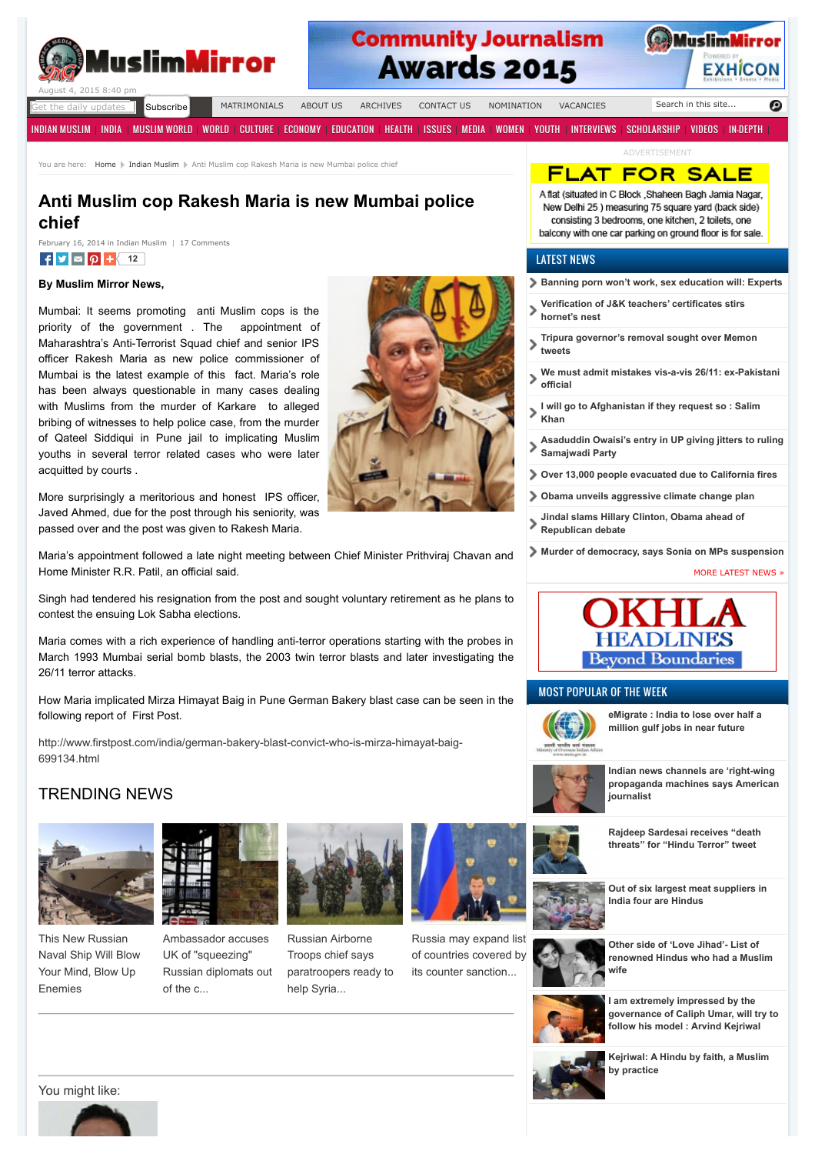

# **Community Journalism Awards 2015**



daily updates **Subscribe** 

[MATRIMONIALS](http://muslimmirror.com/eng/matrimonials/) [ABOUT US](http://muslimmirror.com/eng/about/) [ARCHIVES](http://muslimmirror.com/eng/archives/) [CONTACT US](http://muslimmirror.com/eng/contact-us/) [NOMINATION](http://muslimmirror.com/eng/nomination/) [VACANCIES](http://muslimmirror.com/eng/vacancies/)

[INDIAN MUSLIM](http://muslimmirror.com/eng/category/indian-muslim/) | [INDIA](http://muslimmirror.com/eng/category/india/) | [MUSLIM WORLD](http://muslimmirror.com/eng/category/muslim-world/) | [WORLD](http://muslimmirror.com/eng/category/world/) | [CULTURE](http://muslimmirror.com/eng/category/culture/) | [ECONOMY](http://muslimmirror.com/eng/category/economy/) | [EDUCATION](http://muslimmirror.com/eng/category/education/) | [HEALTH](http://muslimmirror.com/eng/category/health/) | [ISSUES](http://muslimmirror.com/eng/category/issues/) | [MEDIA](http://muslimmirror.com/eng/category/media/) | [WOMEN](http://muslimmirror.com/eng/category/women-2/) | [YOUTH](http://muslimmirror.com/eng/category/youth/) | [INTERVIEWS](http://muslimmirror.com/eng/category/interviews/) | [SCHOLARSHIP](http://muslimmirror.com/eng/category/scholarship/) | [VIDEOS](http://muslimmirror.com/eng/category/videos/) | [IN-DEPTH](http://muslimmirror.com/eng/category/in-depth/) |

Search in this site...

ADVERTISEMENT

FLAT FOR SALE A flat (situated in C Block , Shaheen Bagh Jamia Nagar, New Delhi 25 ) measuring 75 square yard (back side) consisting 3 bedrooms, one kitchen, 2 toilets, one balcony with one car parking on ground floor is for sale.

Θ

You are here: [Home](http://muslimmirror.com/eng) | [Indian Muslim](http://muslimmirror.com/eng/category/indian-muslim/) | Anti Muslim cop Rakesh Maria is new Mumbai police chief

## **Anti Muslim cop Rakesh Maria is new Mumbai police chief**

 $\mathbf{f}$   $\mathbf{v}$   $\mathbf{\alpha}$   $\boldsymbol{\beta}$   $\mathbf{t}$  [12](http://muslimmirror.com/eng/anti-muslim-cop-rakesh-maria-is-new-mumbai-police-chief/#) February 16, 2014 in [Indian Muslim](http://muslimmirror.com/eng/category/indian-muslim/) | [17 Comments](http://muslimmirror.com/eng/anti-muslim-cop-rakesh-maria-is-new-mumbai-police-chief/#comments)

#### **By Muslim Mirror News,**

Mumbai: It seems promoting anti Muslim cops is the priority of the government . The appointment of Maharashtra's Anti-Terrorist Squad chief and senior IPS officer Rakesh Maria as new police commissioner of Mumbai is the latest example of this fact. Maria's role has been always questionable in many cases dealing with Muslims from the murder of Karkare to alleged bribing of witnesses to help police case, from the murder of Qateel Siddiqui in Pune jail to implicating Muslim youths in several terror related cases who were later acquitted by courts .

More surprisingly a meritorious and honest IPS officer, Javed Ahmed, due for the post through his seniority, was passed over and the post was given to Rakesh Maria.

Maria's appointment followed a late night meeting between Chief Minister Prithviraj Chavan and Home Minister R.R. Patil, an official said.

Singh had tendered his resignation from the post and sought voluntary retirement as he plans to contest the ensuing Lok Sabha elections.

Maria comes with a rich experience of handling anti-terror operations starting with the probes in March 1993 Mumbai serial bomb blasts, the 2003 twin terror blasts and later investigating the 26/11 terror attacks.

How Maria implicated Mirza Himayat Baig in Pune German Bakery blast case can be seen in the following report of First Post.

[http://www.firstpost.com/india/german-bakery-blast-convict-who-is-mirza-himayat-baig-](http://www.firstpost.com/india/german-bakery-blast-convict-who-is-mirza-himayat-baig-699134.html)699134.html

## TRENDING NEWS



This New Russian [Naval Ship Will Blow](http://news.fark.com/newdata/news?ad=846324&bl=81892&ct=adpreview&st=16&in=Iw8AAADc1VH06QwATfgOAE33DgBM%2BA4A&ag=20) Your Mind, Blow Up Enemies



Ambassador accuses UK of "squeezing" [Russian diplomats out](http://news.fark.com/newdata/news?ad=981069&bl=81892&ct=adpreview&st=16&in=Iw8AAADc1VH06QwATfgOAE33DgBM%2BA4A&ag=20) of the c...



Russian Airborne Troops chief says [paratroopers ready to](http://news.fark.com/newdata/news?ad=980813&bl=81892&ct=adpreview&st=16&in=Iw8AAADc1VH06QwATfgOAE33DgBM%2BA4A&ag=20) help Syria...



Russia may expand list [of countries covered by](http://news.fark.com/newdata/news?ad=981068&bl=81892&ct=adpreview&st=16&in=Iw8AAADc1VH06QwATfgOAE33DgBM%2BA4A&ag=20) its counter sanction...



- **[Verification of J&K teachers' certificates stirs](http://muslimmirror.com/eng/verification-of-jk-teachers-certificates-stirs-hornets-nest/)**  $\mathbf{\bar{}}$ **hornet's nest**
- **[Tripura governor's removal sought over Memon](http://muslimmirror.com/eng/tripura-governors-removal-sought-over-memon-tweets/)**  $\mathbf{\mathbf{z}}$ **tweets**
- **[We must admit mistakes vis-a-vis 26/11: ex-Pakistani](http://muslimmirror.com/eng/we-must-admit-mistakes-vis-a-vis-2611-ex-pakistani-official/) official**
- **[I will go to Afghanistan if they request so : Salim](http://muslimmirror.com/eng/i-will-go-to-afghanistan-if-they-request-so-salim-khan/)** ⋗ **Khan**
- **[Asaduddin Owaisi's entry in UP giving jitters to ruling](http://muslimmirror.com/eng/asaduddin-owaisis-entry-in-up-giving-jitters-to-ruling-samajwadi-party/) Samajwadi Party**
- **[Over 13,000 people evacuated due to California fires](http://muslimmirror.com/eng/over-13000-people-evacuated-due-to-california-fires/)**
- **[Obama unveils aggressive climate change plan](http://muslimmirror.com/eng/obama-unveils-aggressive-climate-change-plan/)**
- **[Jindal slams Hillary Clinton, Obama ahead of](http://muslimmirror.com/eng/jindal-slams-hillary-clinton-obama-ahead-of-republican-debate/) Republican debate**
- **[Murder of democracy, says Sonia on MPs suspension](http://muslimmirror.com/eng/murder-of-democracy-says-sonia-on-mps-suspension/)**

[MORE LATEST NEWS »](http://muslimmirror.com/eng/page/1/)



### MOST POPULAR OF THE WEEK



**[eMigrate : India to lose over half a](http://muslimmirror.com/eng/emigrate-india-to-lose-over-half-million-gulf-jobs-in-near-future/) million gulf jobs in near future**



**Indian news channels are 'right-wing [propaganda machines says American](http://muslimmirror.com/eng/indian-news-channels-are-right-wing-propaganda-machines-says-an-american-journalist/) journalist**

**[Rajdeep Sardesai receives "death](http://muslimmirror.com/eng/rajdeep-sardesai-receives-death-threats-for-hindu-terror-tweet/) threats" for "Hindu Terror" tweet**



**[Out of six largest meat suppliers in](http://muslimmirror.com/eng/out-of-six-largest-meat-suppliers-in-india-four-are-hindus/) India four are Hindus**



**Other side of 'Love Jihad'- List of [renowned Hindus who had a Muslim](http://muslimmirror.com/eng/other-side-of-love-jihad-list-of-renowned-hindus-who-had-a-muslim-wife/) wife**



**I am extremely impressed by the [governance of Caliph Umar, will try to](http://muslimmirror.com/eng/i-am-extremely-impressed-by-governance-of-caliph-umar-delhi-cm-arvind-kejriwal/) follow his model : Arvind Kejriwal**



You might like:



**[Kejriwal: A Hindu by faith, a Muslim](http://muslimmirror.com/eng/kejriwal-a-hindu-by-faith-a-muslim-by-practice/)**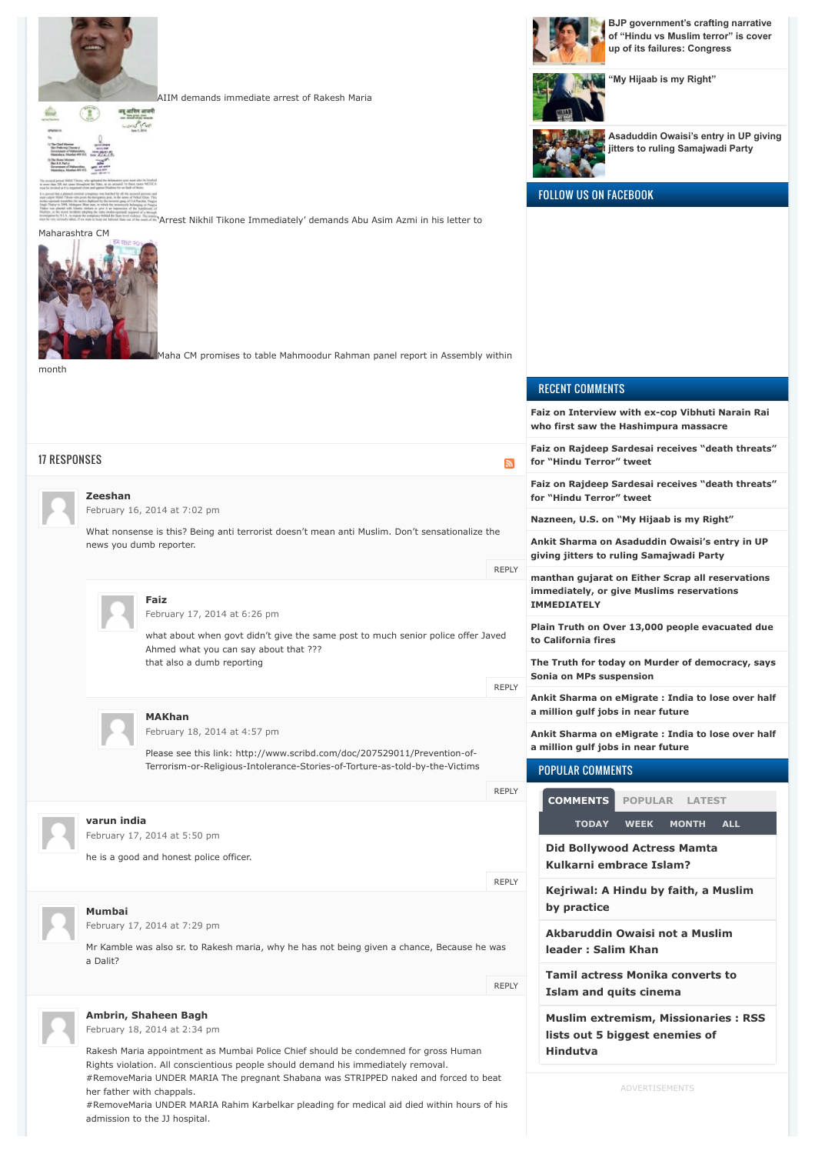

[AIIM demands immediate arrest of Rakesh Maria](http://muslimmirror.com/eng/aiim-demands-immediate-arrest-of-rakesh-maria/)



Maharashtra CM

month



her father with chappals.

admission to the JJ hospital.

['Arrest Nikhil Tikone Immediately' demands Abu Asim Azmi in his letter to](http://muslimmirror.com/eng/arrest-nikhil-tikone-immediately-demands-abu-asim-azmi-in-his-letter-to-maharashtra-cm/)

[Maha CM promises to table Mahmoodur Rahman panel report in Assembly within](http://muslimmirror.com/eng/maha-cm-promises-to-table-mahmoodur-rahman-panel-report-in-assembly-within-month/)

**[BJP government's crafting narrative](http://muslimmirror.com/eng/bjp-governments-crafting-narrative-of-hindu-vs-muslim-terror-is-cover-up-of-its-failures-congress/) of "Hindu vs Muslim terror" is cover up of its failures: Congress**



**["My Hijaab is my Right"](http://muslimmirror.com/eng/my-hijaab-is-my-right/)**



**[Asaduddin Owaisi's entry in UP giving](http://muslimmirror.com/eng/asaduddin-owaisis-entry-in-up-giving-jitters-to-ruling-samajwadi-party/) jitters to ruling Samajwadi Party**

|  | <b>FOLLOW US ON FACEBOOK</b> |
|--|------------------------------|
|  |                              |

RECENT COMMENTS

**[Faiz on Interview with ex-cop Vibhuti Narain Rai](http://muslimmirror.com/eng/interview-with-ex-cop-vibhuti-narain-rai-who-first-saw-the-hashimpura-massacre/#comment-245829) who first saw the Hashimpura massacre [Faiz on Rajdeep Sardesai receives "death threats"](http://muslimmirror.com/eng/rajdeep-sardesai-receives-death-threats-for-hindu-terror-tweet/#comment-245800)** 17 RESPONSES **for "Hindu Terror" tweet**  $\overline{\phantom{a}}$ **[Faiz on Rajdeep Sardesai receives "death threats"](http://muslimmirror.com/eng/rajdeep-sardesai-receives-death-threats-for-hindu-terror-tweet/#comment-245796) Zeeshan for "Hindu Terror" tweet** [February 16, 2014 at 7:02 pm](http://muslimmirror.com/eng/anti-muslim-cop-rakesh-maria-is-new-mumbai-police-chief/#comment-56650) **Nazneen, U.S. on ["My Hijaab is my Right"](http://muslimmirror.com/eng/my-hijaab-is-my-right/#comment-245758)** What nonsense is this? Being anti terrorist doesn't mean anti Muslim. Don't sensationalize the **[Ankit Sharma on Asaduddin Owaisi's entry in UP](http://muslimmirror.com/eng/asaduddin-owaisis-entry-in-up-giving-jitters-to-ruling-samajwadi-party/#comment-245755)** news you dumb reporter. **giving jitters to ruling Samajwadi Party** [REPLY](http://muslimmirror.com/eng/anti-muslim-cop-rakesh-maria-is-new-mumbai-police-chief/?replytocom=56650#respond) **[manthan gujarat on Either Scrap all reservations](http://muslimmirror.com/eng/either-scrap-all-reservations-immediately-or-give-muslims-reservations-immediately/#comment-245731) immediately, or give Muslims reservations Faiz IMMEDIATELY** [February 17, 2014 at 6:26 pm](http://muslimmirror.com/eng/anti-muslim-cop-rakesh-maria-is-new-mumbai-police-chief/#comment-56709) **[Plain Truth on Over 13,000 people evacuated due](http://muslimmirror.com/eng/over-13000-people-evacuated-due-to-california-fires/#comment-245680)** what about when govt didn't give the same post to much senior police offer Javed **to California fires** Ahmed what you can say about that ??? that also a dumb reporting **[The Truth for today on Murder of democracy, says](http://muslimmirror.com/eng/murder-of-democracy-says-sonia-on-mps-suspension/#comment-245662) Sonia on MPs suspension DEPLY [Ankit Sharma on eMigrate : India to lose over half](http://muslimmirror.com/eng/emigrate-india-to-lose-over-half-million-gulf-jobs-in-near-future/#comment-245565) a million gulf jobs in near future MAKhan** [February 18, 2014 at 4:57 pm](http://muslimmirror.com/eng/anti-muslim-cop-rakesh-maria-is-new-mumbai-police-chief/#comment-56794) **[Ankit Sharma on eMigrate : India to lose over half](http://muslimmirror.com/eng/emigrate-india-to-lose-over-half-million-gulf-jobs-in-near-future/#comment-245564) a million gulf jobs in near future** Please see this link: http://www.scribd.com/doc/207529011/Prevention-of-[Terrorism-or-Religious-Intolerance-Stories-of-Torture-as-told-by-the-Victims](http://www.scribd.com/doc/207529011/Prevention-of-Terrorism-or-Religious-Intolerance-Stories-of-Torture-as-told-by-the-Victims) POPULAR COMMENTS [REPLY](http://muslimmirror.com/eng/anti-muslim-cop-rakesh-maria-is-new-mumbai-police-chief/?replytocom=56794#respond) **[COMMENTS](http://muslimmirror.com/eng/anti-muslim-cop-rakesh-maria-is-new-mumbai-police-chief/#tab-comm) [POPULAR](http://muslimmirror.com/eng/anti-muslim-cop-rakesh-maria-is-new-mumbai-police-chief/#tab-pop) [LATEST](http://muslimmirror.com/eng/anti-muslim-cop-rakesh-maria-is-new-mumbai-police-chief/#tab-latest) varun india [TODAY](http://muslimmirror.com/eng/anti-muslim-cop-rakesh-maria-is-new-mumbai-police-chief/#) [WEEK](http://muslimmirror.com/eng/anti-muslim-cop-rakesh-maria-is-new-mumbai-police-chief/#) [MONTH](http://muslimmirror.com/eng/anti-muslim-cop-rakesh-maria-is-new-mumbai-police-chief/#) [ALL](http://muslimmirror.com/eng/anti-muslim-cop-rakesh-maria-is-new-mumbai-police-chief/#)** [February 17, 2014 at 5:50 pm](http://muslimmirror.com/eng/anti-muslim-cop-rakesh-maria-is-new-mumbai-police-chief/#comment-56704) **[Did Bollywood Actress Mamta](http://muslimmirror.com/eng/bollywood-actress-mamta-kulkarni-accepts-islam/)** he is a good and honest police officer. **Kulkarni embrace Islam?** [REPLY](http://muslimmirror.com/eng/anti-muslim-cop-rakesh-maria-is-new-mumbai-police-chief/?replytocom=56704#respond) **[Kejriwal: A Hindu by faith, a Muslim](http://muslimmirror.com/eng/kejriwal-a-hindu-by-faith-a-muslim-by-practice/) by practice Mumbai** [February 17, 2014 at 7:29 pm](http://muslimmirror.com/eng/anti-muslim-cop-rakesh-maria-is-new-mumbai-police-chief/#comment-56715) **[Akbaruddin Owaisi not a Muslim](http://muslimmirror.com/eng/why-mim-not-happy-with-salman-khan/)** Mr Kamble was also sr. to Rakesh maria, why he has not being given a chance, Because he was **leader : Salim Khan** a Dalit? **[Tamil actress Monika converts to](http://muslimmirror.com/eng/tamil-actress-monika-converted-to-islam-to-quit-cinema/)** [REPLY](http://muslimmirror.com/eng/anti-muslim-cop-rakesh-maria-is-new-mumbai-police-chief/?replytocom=56715#respond) **Islam and quits cinema Ambrin, Shaheen Bagh [Muslim extremism, Missionaries : RSS](http://muslimmirror.com/eng/muslim-extremism-missionaries-rss-lists-out-5-biggest-enemies-of-hindutva/)** [February 18, 2014 at 2:34 pm](http://muslimmirror.com/eng/anti-muslim-cop-rakesh-maria-is-new-mumbai-police-chief/#comment-56780) **lists out 5 biggest enemies of** Rakesh Maria appointment as Mumbai Police Chief should be condemned for gross Human **Hindutva**Rights violation. All conscientious people should demand his immediately removal. #RemoveMaria UNDER MARIA The pregnant Shabana was STRIPPED naked and forced to beat

#RemoveMaria UNDER MARIA Rahim Karbelkar pleading for medical aid died within hours of his

ADVERTISEMENTS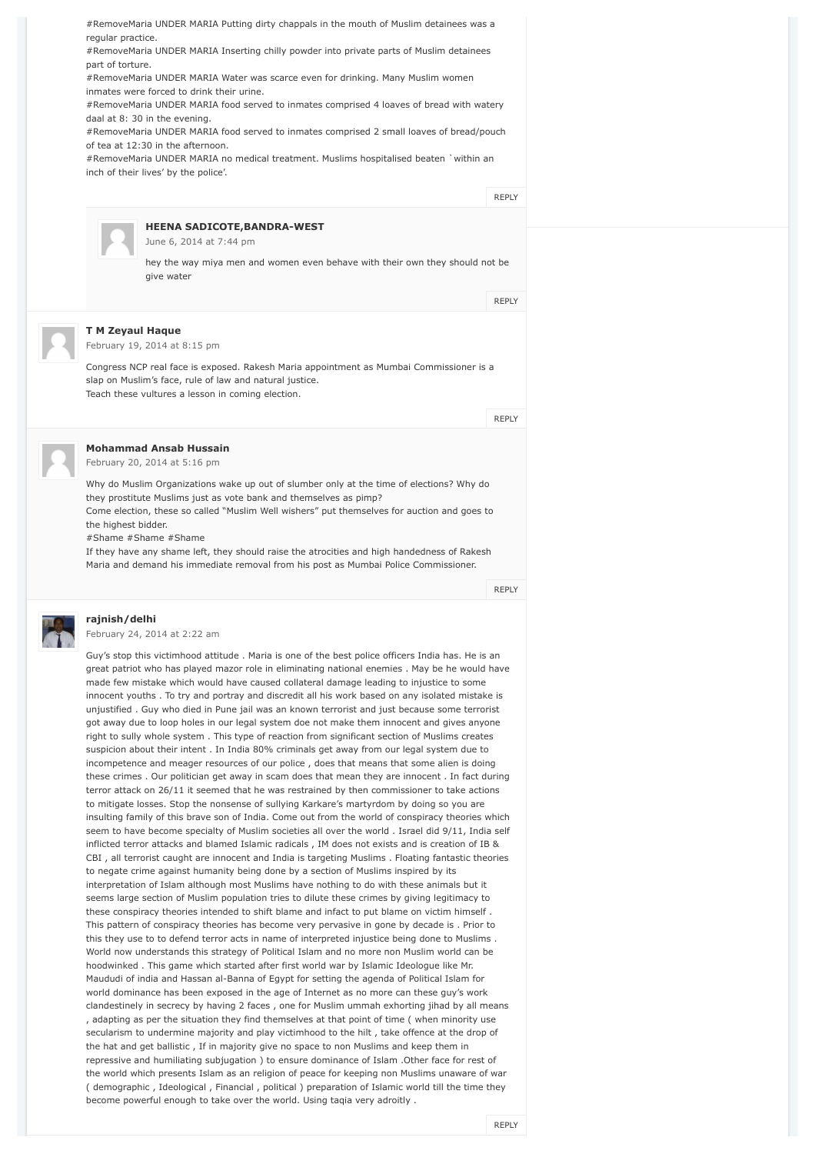#RemoveMaria UNDER MARIA Putting dirty chappals in the mouth of Muslim detainees was a regular practice. #RemoveMaria UNDER MARIA Inserting chilly powder into private parts of Muslim detainees part of torture. #RemoveMaria UNDER MARIA Water was scarce even for drinking. Many Muslim women inmates were forced to drink their urine. #RemoveMaria UNDER MARIA food served to inmates comprised 4 loaves of bread with watery daal at 8: 30 in the evening. #RemoveMaria UNDER MARIA food served to inmates comprised 2 small loaves of bread/pouch of tea at 12:30 in the afternoon. #RemoveMaria UNDER MARIA no medical treatment. Muslims hospitalised beaten `within an inch of their lives' by the police'. **HEENA SADICOTE,BANDRA-WEST** [June 6, 2014 at 7:44 pm](http://muslimmirror.com/eng/anti-muslim-cop-rakesh-maria-is-new-mumbai-police-chief/#comment-70289) hey the way miya men and women even behave with their own they should not be give water **T M Zeyaul Haque** [February 19, 2014 at 8:15 pm](http://muslimmirror.com/eng/anti-muslim-cop-rakesh-maria-is-new-mumbai-police-chief/#comment-56880) Congress NCP real face is exposed. Rakesh Maria appointment as Mumbai Commissioner is a slap on Muslim's face, rule of law and natural justice. Teach these vultures a lesson in coming election. **Mohammad Ansab Hussain** [February 20, 2014 at 5:16 pm](http://muslimmirror.com/eng/anti-muslim-cop-rakesh-maria-is-new-mumbai-police-chief/#comment-56955) Why do Muslim Organizations wake up out of slumber only at the time of elections? Why do they prostitute Muslims just as vote bank and themselves as pimp? [REPLY](http://muslimmirror.com/eng/anti-muslim-cop-rakesh-maria-is-new-mumbai-police-chief/?replytocom=56780#respond) [REPLY](http://muslimmirror.com/eng/anti-muslim-cop-rakesh-maria-is-new-mumbai-police-chief/?replytocom=70289#respond) [REPLY](http://muslimmirror.com/eng/anti-muslim-cop-rakesh-maria-is-new-mumbai-police-chief/?replytocom=56880#respond)

Come election, these so called "Muslim Well wishers" put themselves for auction and goes to the highest bidder.

#Shame #Shame #Shame

If they have any shame left, they should raise the atrocities and high handedness of Rakesh Maria and demand his immediate removal from his post as Mumbai Police Commissioner.

[REPLY](http://muslimmirror.com/eng/anti-muslim-cop-rakesh-maria-is-new-mumbai-police-chief/?replytocom=56955#respond)



### **rajnish/delhi**

[February 24, 2014 at 2:22 am](http://muslimmirror.com/eng/anti-muslim-cop-rakesh-maria-is-new-mumbai-police-chief/#comment-57130)

Guy's stop this victimhood attitude . Maria is one of the best police officers India has. He is an great patriot who has played mazor role in eliminating national enemies . May be he would have made few mistake which would have caused collateral damage leading to injustice to some innocent youths . To try and portray and discredit all his work based on any isolated mistake is unjustified . Guy who died in Pune jail was an known terrorist and just because some terrorist got away due to loop holes in our legal system doe not make them innocent and gives anyone right to sully whole system . This type of reaction from significant section of Muslims creates suspicion about their intent . In India 80% criminals get away from our legal system due to incompetence and meager resources of our police , does that means that some alien is doing these crimes . Our politician get away in scam does that mean they are innocent . In fact during terror attack on 26/11 it seemed that he was restrained by then commissioner to take actions to mitigate losses. Stop the nonsense of sullying Karkare's martyrdom by doing so you are insulting family of this brave son of India. Come out from the world of conspiracy theories which seem to have become specialty of Muslim societies all over the world . Israel did 9/11, India self inflicted terror attacks and blamed Islamic radicals , IM does not exists and is creation of IB & CBI , all terrorist caught are innocent and India is targeting Muslims . Floating fantastic theories to negate crime against humanity being done by a section of Muslims inspired by its interpretation of Islam although most Muslims have nothing to do with these animals but it seems large section of Muslim population tries to dilute these crimes by giving legitimacy to these conspiracy theories intended to shift blame and infact to put blame on victim himself . This pattern of conspiracy theories has become very pervasive in gone by decade is . Prior to this they use to to defend terror acts in name of interpreted injustice being done to Muslims . World now understands this strategy of Political Islam and no more non Muslim world can be hoodwinked . This game which started after first world war by Islamic Ideologue like Mr. Maududi of india and Hassan al-Banna of Egypt for setting the agenda of Political Islam for world dominance has been exposed in the age of Internet as no more can these guy's work clandestinely in secrecy by having 2 faces , one for Muslim ummah exhorting jihad by all means , adapting as per the situation they find themselves at that point of time ( when minority use secularism to undermine majority and play victimhood to the hilt , take offence at the drop of the hat and get ballistic , If in majority give no space to non Muslims and keep them in repressive and humiliating subjugation ) to ensure dominance of Islam .Other face for rest of the world which presents Islam as an religion of peace for keeping non Muslims unaware of war ( demographic , Ideological , Financial , political ) preparation of Islamic world till the time they become powerful enough to take over the world. Using taqia very adroitly .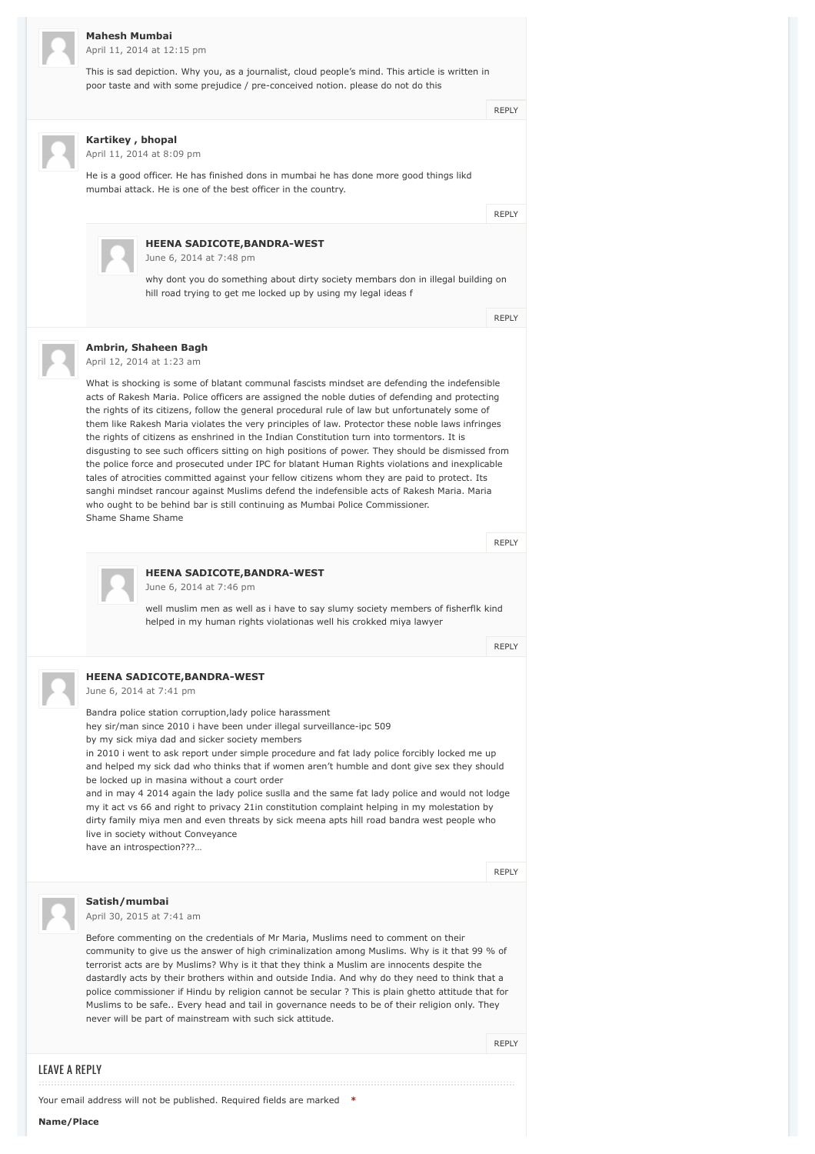#### **Mahesh Mumbai**

[April 11, 2014 at 12:15 pm](http://muslimmirror.com/eng/anti-muslim-cop-rakesh-maria-is-new-mumbai-police-chief/#comment-60621)

This is sad depiction. Why you, as a journalist, cloud people's mind. This article is written in poor taste and with some prejudice / pre-conceived notion. please do not do this

**[REPLY](http://muslimmirror.com/eng/anti-muslim-cop-rakesh-maria-is-new-mumbai-police-chief/?replytocom=60621#respond)** 

**Kartikey , bhopal** [April 11, 2014 at 8:09 pm](http://muslimmirror.com/eng/anti-muslim-cop-rakesh-maria-is-new-mumbai-police-chief/#comment-60643)

He is a good officer. He has finished dons in mumbai he has done more good things likd mumbai attack. He is one of the best officer in the country.

[REPLY](http://muslimmirror.com/eng/anti-muslim-cop-rakesh-maria-is-new-mumbai-police-chief/?replytocom=60643#respond)



### **HEENA SADICOTE,BANDRA-WEST**

[June 6, 2014 at 7:48 pm](http://muslimmirror.com/eng/anti-muslim-cop-rakesh-maria-is-new-mumbai-police-chief/#comment-70293)

why dont you do something about dirty society membars don in illegal building on hill road trying to get me locked up by using my legal ideas f

[REPLY](http://muslimmirror.com/eng/anti-muslim-cop-rakesh-maria-is-new-mumbai-police-chief/?replytocom=70293#respond)

#### **Ambrin, Shaheen Bagh**

[April 12, 2014 at 1:23 am](http://muslimmirror.com/eng/anti-muslim-cop-rakesh-maria-is-new-mumbai-police-chief/#comment-60660)

What is shocking is some of blatant communal fascists mindset are defending the indefensible acts of Rakesh Maria. Police officers are assigned the noble duties of defending and protecting the rights of its citizens, follow the general procedural rule of law but unfortunately some of them like Rakesh Maria violates the very principles of law. Protector these noble laws infringes the rights of citizens as enshrined in the Indian Constitution turn into tormentors. It is disgusting to see such officers sitting on high positions of power. They should be dismissed from the police force and prosecuted under IPC for blatant Human Rights violations and inexplicable tales of atrocities committed against your fellow citizens whom they are paid to protect. Its sanghi mindset rancour against Muslims defend the indefensible acts of Rakesh Maria. Maria who ought to be behind bar is still continuing as Mumbai Police Commissioner. Shame Shame Shame

[REPLY](http://muslimmirror.com/eng/anti-muslim-cop-rakesh-maria-is-new-mumbai-police-chief/?replytocom=60660#respond)



## **HEENA SADICOTE,BANDRA-WEST**

[June 6, 2014 at 7:46 pm](http://muslimmirror.com/eng/anti-muslim-cop-rakesh-maria-is-new-mumbai-police-chief/#comment-70290)

well muslim men as well as i have to say slumy society members of fisherflk kind helped in my human rights violationas well his crokked miya lawyer

[REPLY](http://muslimmirror.com/eng/anti-muslim-cop-rakesh-maria-is-new-mumbai-police-chief/?replytocom=70290#respond)

#### **HEENA SADICOTE,BANDRA-WEST**

[June 6, 2014 at 7:41 pm](http://muslimmirror.com/eng/anti-muslim-cop-rakesh-maria-is-new-mumbai-police-chief/#comment-70288)

Bandra police station corruption,lady police harassment

hey sir/man since 2010 i have been under illegal surveillance-ipc 509 by my sick miya dad and sicker society members

in 2010 i went to ask report under simple procedure and fat lady police forcibly locked me up and helped my sick dad who thinks that if women aren't humble and dont give sex they should be locked up in masina without a court order

and in may 4 2014 again the lady police suslla and the same fat lady police and would not lodge my it act vs 66 and right to privacy 21in constitution complaint helping in my molestation by dirty family miya men and even threats by sick meena apts hill road bandra west people who live in society without Conveyance

have an introspection???…



#### **Satish/mumbai**

[April 30, 2015 at 7:41 am](http://muslimmirror.com/eng/anti-muslim-cop-rakesh-maria-is-new-mumbai-police-chief/#comment-111013)

Before commenting on the credentials of Mr Maria, Muslims need to comment on their community to give us the answer of high criminalization among Muslims. Why is it that 99 % of terrorist acts are by Muslims? Why is it that they think a Muslim are innocents despite the dastardly acts by their brothers within and outside India. And why do they need to think that a police commissioner if Hindu by religion cannot be secular ? This is plain ghetto attitude that for Muslims to be safe.. Every head and tail in governance needs to be of their religion only. They never will be part of mainstream with such sick attitude.

[REPLY](http://muslimmirror.com/eng/anti-muslim-cop-rakesh-maria-is-new-mumbai-police-chief/?replytocom=111013#respond)

#### LEAVE A REPLY

Your email address will not be published. Required fields are marked **\***